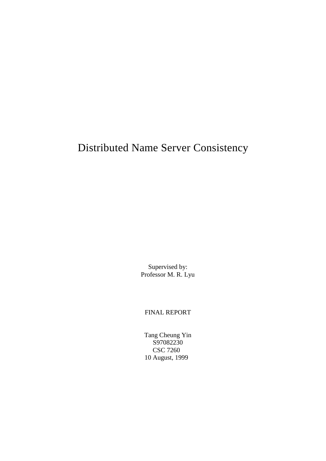# Distributed Name Server Consistency

Supervised by: Professor M. R. Lyu

FINAL REPORT

Tang Cheung Yin S97082230 CSC 7260 10 August, 1999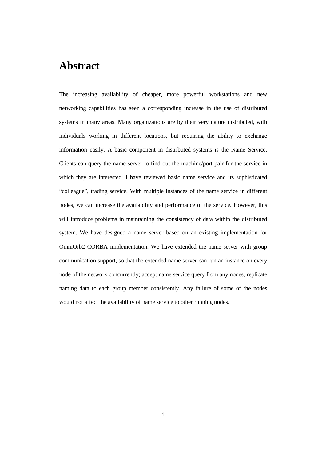# **Abstract**

The increasing availability of cheaper, more powerful workstations and new networking capabilities has seen a corresponding increase in the use of distributed systems in many areas. Many organizations are by their very nature distributed, with individuals working in different locations, but requiring the ability to exchange information easily. A basic component in distributed systems is the Name Service. Clients can query the name server to find out the machine/port pair for the service in which they are interested. I have reviewed basic name service and its sophisticated "colleague", trading service. With multiple instances of the name service in different nodes, we can increase the availability and performance of the service. However, this will introduce problems in maintaining the consistency of data within the distributed system. We have designed a name server based on an existing implementation for OmniOrb2 CORBA implementation. We have extended the name server with group communication support, so that the extended name server can run an instance on every node of the network concurrently; accept name service query from any nodes; replicate naming data to each group member consistently. Any failure of some of the nodes would not affect the availability of name service to other running nodes.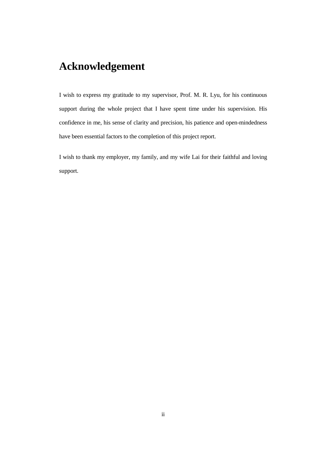# **Acknowledgement**

I wish to express my gratitude to my supervisor, Prof. M. R. Lyu, for his continuous support during the whole project that I have spent time under his supervision. His confidence in me, his sense of clarity and precision, his patience and open-mindedness have been essential factors to the completion of this project report.

I wish to thank my employer, my family, and my wife Lai for their faithful and loving support.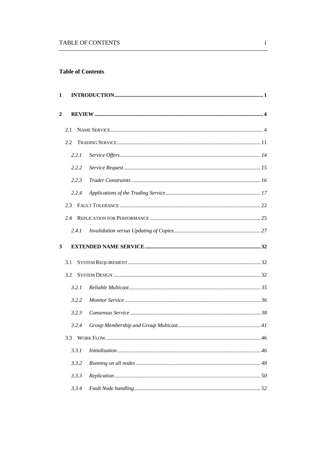# **Table of Contents**

| 1            |       |  |
|--------------|-------|--|
| $\mathbf{2}$ |       |  |
|              | 2.1   |  |
|              | 2.2   |  |
|              | 2.2.1 |  |
|              | 2.2.2 |  |
|              | 2.2.3 |  |
|              | 2.2.4 |  |
|              | 2.3   |  |
|              | 2.4   |  |
|              | 2.4.1 |  |
| 3            |       |  |
|              |       |  |
|              | 3.1   |  |
|              | 3.2   |  |
|              | 3.2.1 |  |
|              | 3.2.2 |  |
|              | 3.2.3 |  |
|              | 3.2.4 |  |
|              | 3.3   |  |
|              | 3.3.1 |  |
|              | 3.3.2 |  |
|              | 3.3.3 |  |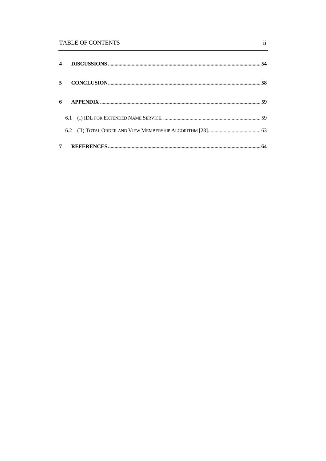# **TABLE OF CONTENTS**

|             | 5 <sup>1</sup> |  |  |  |
|-------------|----------------|--|--|--|
| 6           |                |  |  |  |
|             |                |  |  |  |
|             |                |  |  |  |
| $7^{\circ}$ |                |  |  |  |

 $\ddot{\mathbf{i}}$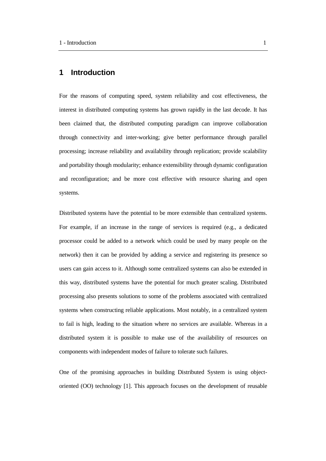# **1 Introduction**

For the reasons of computing speed, system reliability and cost effectiveness, the interest in distributed computing systems has grown rapidly in the last decode. It has been claimed that, the distributed computing paradigm can improve collaboration through connectivity and inter-working; give better performance through parallel processing; increase reliability and availability through replication; provide scalability and portability though modularity; enhance extensibility through dynamic configuration and reconfiguration; and be more cost effective with resource sharing and open systems.

Distributed systems have the potential to be more extensible than centralized systems. For example, if an increase in the range of services is required (e.g., a dedicated processor could be added to a network which could be used by many people on the network) then it can be provided by adding a service and registering its presence so users can gain access to it. Although some centralized systems can also be extended in this way, distributed systems have the potential for much greater scaling. Distributed processing also presents solutions to some of the problems associated with centralized systems when constructing reliable applications. Most notably, in a centralized system to fail is high, leading to the situation where no services are available. Whereas in a distributed system it is possible to make use of the availability of resources on components with independent modes of failure to tolerate such failures.

One of the promising approaches in building Distributed System is using objectoriented (OO) technology [1]. This approach focuses on the development of reusable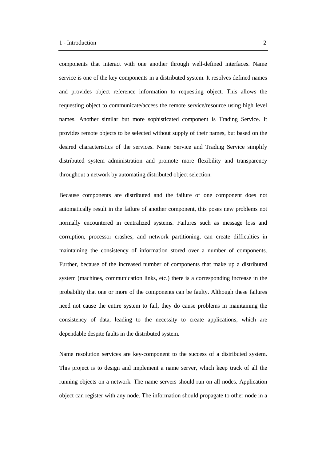components that interact with one another through well-defined interfaces. Name service is one of the key components in a distributed system. It resolves defined names and provides object reference information to requesting object. This allows the requesting object to communicate/access the remote service/resource using high level names. Another similar but more sophisticated component is Trading Service. It provides remote objects to be selected without supply of their names, but based on the desired characteristics of the services. Name Service and Trading Service simplify distributed system administration and promote more flexibility and transparency throughout a network by automating distributed object selection.

Because components are distributed and the failure of one component does not automatically result in the failure of another component, this poses new problems not normally encountered in centralized systems. Failures such as message loss and corruption, processor crashes, and network partitioning, can create difficulties in maintaining the consistency of information stored over a number of components. Further, because of the increased number of components that make up a distributed system (machines, communication links, etc.) there is a corresponding increase in the probability that one or more of the components can be faulty. Although these failures need not cause the entire system to fail, they do cause problems in maintaining the consistency of data, leading to the necessity to create applications, which are dependable despite faults in the distributed system.

Name resolution services are key-component to the success of a distributed system. This project is to design and implement a name server, which keep track of all the running objects on a network. The name servers should run on all nodes. Application object can register with any node. The information should propagate to other node in a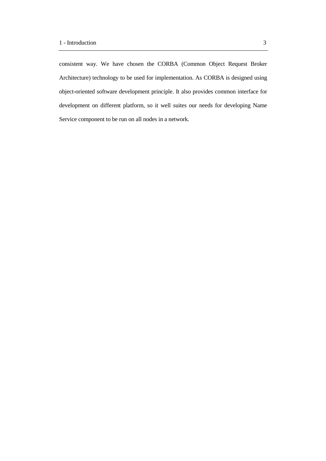consistent way. We have chosen the CORBA (Common Object Request Broker Architecture) technology to be used for implementation. As CORBA is designed using object-oriented software development principle. It also provides common interface for development on different platform, so it well suites our needs for developing Name Service component to be run on all nodes in a network.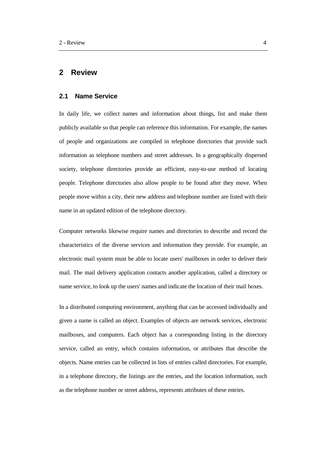# **2 Review**

#### **2.1 Name Service**

In daily life, we collect names and information about things, list and make them publicly available so that people can reference this information. For example, the names of people and organizations are compiled in telephone directories that provide such information as telephone numbers and street addresses. In a geographically dispersed society, telephone directories provide an efficient, easy-to-use method of locating people. Telephone directories also allow people to be found after they move. When people move within a city, their new address and telephone number are listed with their name in an updated edition of the telephone directory.

Computer networks likewise require names and directories to describe and record the characteristics of the diverse services and information they provide. For example, an electronic mail system must be able to locate users' mailboxes in order to deliver their mail. The mail delivery application contacts another application, called a directory or name service, to look up the users' names and indicate the location of their mail boxes.

In a distributed computing environment, anything that can be accessed individually and given a name is called an object. Examples of objects are network services, electronic mailboxes, and computers. Each object has a corresponding listing in the directory service, called an entry, which contains information, or attributes that describe the objects. Name entries can be collected in lists of entries called directories. For example, in a telephone directory, the listings are the entries, and the location information, such as the telephone number or street address, represents attributes of these entries.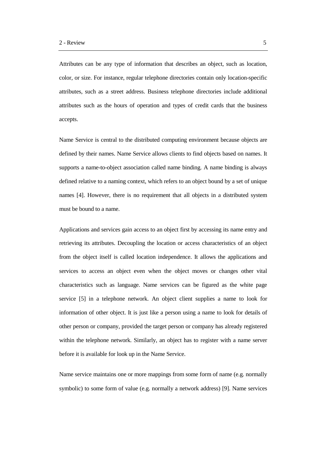Attributes can be any type of information that describes an object, such as location, color, or size. For instance, regular telephone directories contain only location-specific attributes, such as a street address. Business telephone directories include additional attributes such as the hours of operation and types of credit cards that the business accepts.

Name Service is central to the distributed computing environment because objects are defined by their names. Name Service allows clients to find objects based on names. It supports a name-to-object association called name binding. A name binding is always defined relative to a naming context, which refers to an object bound by a set of unique names [4]. However, there is no requirement that all objects in a distributed system must be bound to a name.

Applications and services gain access to an object first by accessing its name entry and retrieving its attributes. Decoupling the location or access characteristics of an object from the object itself is called location independence. It allows the applications and services to access an object even when the object moves or changes other vital characteristics such as language. Name services can be figured as the white page service [5] in a telephone network. An object client supplies a name to look for information of other object. It is just like a person using a name to look for details of other person or company, provided the target person or company has already registered within the telephone network. Similarly, an object has to register with a name server before it is available for look up in the Name Service.

Name service maintains one or more mappings from some form of name (e.g. normally symbolic) to some form of value (e.g. normally a network address) [9]. Name services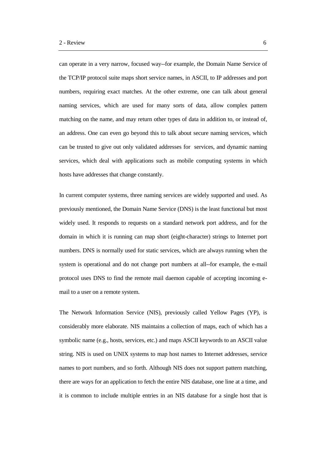can operate in a very narrow, focused way--for example, the Domain Name Service of the TCP/IP protocol suite maps short service names, in ASCII, to IP addresses and port numbers, requiring exact matches. At the other extreme, one can talk about general naming services, which are used for many sorts of data, allow complex pattern matching on the name, and may return other types of data in addition to, or instead of, an address. One can even go beyond this to talk about secure naming services, which can be trusted to give out only validated addresses for services, and dynamic naming services, which deal with applications such as mobile computing systems in which hosts have addresses that change constantly.

In current computer systems, three naming services are widely supported and used. As previously mentioned, the Domain Name Service (DNS) is the least functional but most widely used. It responds to requests on a standard network port address, and for the domain in which it is running can map short (eight-character) strings to Internet port numbers. DNS is normally used for static services, which are always running when the system is operational and do not change port numbers at all--for example, the e-mail protocol uses DNS to find the remote mail daemon capable of accepting incoming email to a user on a remote system.

The Network Information Service (NIS), previously called Yellow Pages (YP), is considerably more elaborate. NIS maintains a collection of maps, each of which has a symbolic name (e.g., hosts, services, etc.) and maps ASCII keywords to an ASCII value string. NIS is used on UNIX systems to map host names to Internet addresses, service names to port numbers, and so forth. Although NIS does not support pattern matching, there are ways for an application to fetch the entire NIS database, one line at a time, and it is common to include multiple entries in an NIS database for a single host that is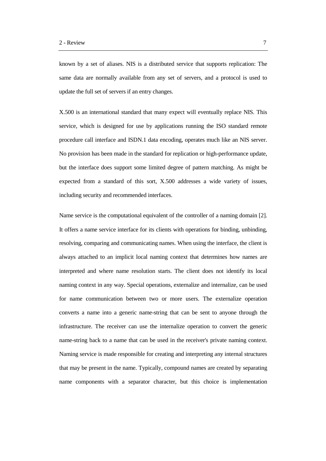known by a set of aliases. NIS is a distributed service that supports replication: The same data are normally available from any set of servers, and a protocol is used to update the full set of servers if an entry changes.

X.500 is an international standard that many expect will eventually replace NIS. This service, which is designed for use by applications running the ISO standard remote procedure call interface and ISDN.1 data encoding, operates much like an NIS server. No provision has been made in the standard for replication or high-performance update, but the interface does support some limited degree of pattern matching. As might be expected from a standard of this sort, X.500 addresses a wide variety of issues, including security and recommended interfaces.

Name service is the computational equivalent of the controller of a naming domain [2]. It offers a name service interface for its clients with operations for binding, unbinding, resolving, comparing and communicating names. When using the interface, the client is always attached to an implicit local naming context that determines how names are interpreted and where name resolution starts. The client does not identify its local naming context in any way. Special operations, externalize and internalize, can be used for name communication between two or more users. The externalize operation converts a name into a generic name-string that can be sent to anyone through the infrastructure. The receiver can use the internalize operation to convert the generic name-string back to a name that can be used in the receiver's private naming context. Naming service is made responsible for creating and interpreting any internal structures that may be present in the name. Typically, compound names are created by separating name components with a separator character, but this choice is implementation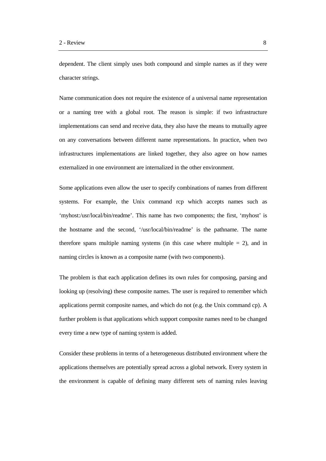dependent. The client simply uses both compound and simple names as if they were character strings.

Name communication does not require the existence of a universal name representation or a naming tree with a global root. The reason is simple: if two infrastructure implementations can send and receive data, they also have the means to mutually agree on any conversations between different name representations. In practice, when two infrastructures implementations are linked together, they also agree on how names externalized in one environment are internalized in the other environment.

Some applications even allow the user to specify combinations of names from different systems. For example, the Unix command rcp which accepts names such as 'myhost:/usr/local/bin/readme'. This name has two components; the first, 'myhost' is the hostname and the second, '/usr/local/bin/readme' is the pathname. The name therefore spans multiple naming systems (in this case where multiple  $= 2$ ), and in naming circles is known as a composite name (with two components).

The problem is that each application defines its own rules for composing, parsing and looking up (resolving) these composite names. The user is required to remember which applications permit composite names, and which do not (e.g. the Unix command cp). A further problem is that applications which support composite names need to be changed every time a new type of naming system is added.

Consider these problems in terms of a heterogeneous distributed environment where the applications themselves are potentially spread across a global network. Every system in the environment is capable of defining many different sets of naming rules leaving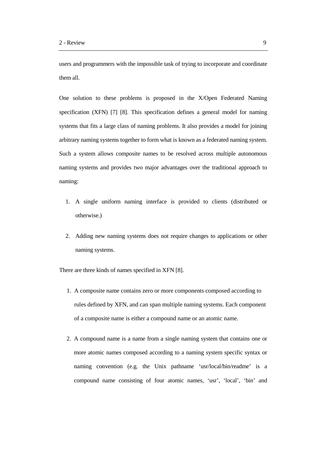users and programmers with the impossible task of trying to incorporate and coordinate them all.

One solution to these problems is proposed in the X/Open Federated Naming specification (XFN) [7] [8]. This specification defines a general model for naming systems that fits a large class of naming problems. It also provides a model for joining arbitrary naming systems together to form what is known as a federated naming system. Such a system allows composite names to be resolved across multiple autonomous naming systems and provides two major advantages over the traditional approach to naming:

- 1. A single uniform naming interface is provided to clients (distributed or otherwise.)
- 2. Adding new naming systems does not require changes to applications or other naming systems.

There are three kinds of names specified in XFN [8].

- 1. A composite name contains zero or more components composed according to rules defined by XFN, and can span multiple naming systems. Each component of a composite name is either a compound name or an atomic name.
- 2. A compound name is a name from a single naming system that contains one or more atomic names composed according to a naming system specific syntax or naming convention (e.g. the Unix pathname 'usr/local/bin/readme' is a compound name consisting of four atomic names, 'usr', 'local', 'bin' and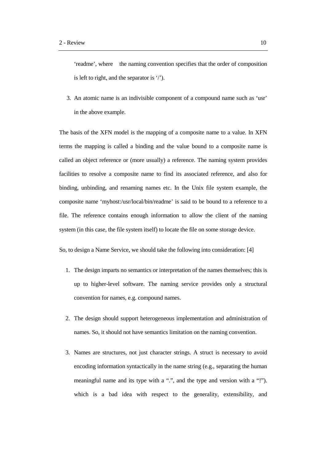'readme', where the naming convention specifies that the order of composition is left to right, and the separator is '/').

3. An atomic name is an indivisible component of a compound name such as 'usr' in the above example.

The basis of the XFN model is the mapping of a composite name to a value. In XFN terms the mapping is called a binding and the value bound to a composite name is called an object reference or (more usually) a reference. The naming system provides facilities to resolve a composite name to find its associated reference, and also for binding, unbinding, and renaming names etc. In the Unix file system example, the composite name 'myhost:/usr/local/bin/readme' is said to be bound to a reference to a file. The reference contains enough information to allow the client of the naming system (in this case, the file system itself) to locate the file on some storage device.

So, to design a Name Service, we should take the following into consideration: [4]

- 1. The design imparts no semantics or interpretation of the names themselves; this is up to higher-level software. The naming service provides only a structural convention for names, e.g. compound names.
- 2. The design should support heterogeneous implementation and administration of names. So, it should not have semantics limitation on the naming convention.
- 3. Names are structures, not just character strings. A struct is necessary to avoid encoding information syntactically in the name string (e.g., separating the human meaningful name and its type with a ".", and the type and version with a "!"). which is a bad idea with respect to the generality, extensibility, and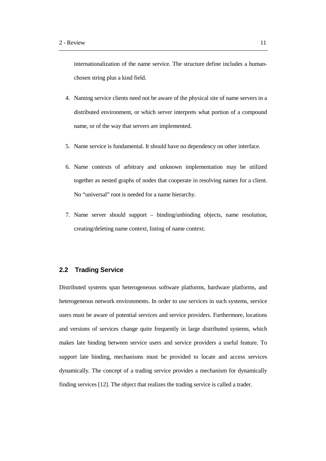internationalization of the name service. The structure define includes a humanchosen string plus a kind field.

- 4. Naming service clients need not be aware of the physical site of name servers in a distributed environment, or which server interprets what portion of a compound name, or of the way that servers are implemented.
- 5. Name service is fundamental. It should have no dependency on other interface.
- 6. Name contexts of arbitrary and unknown implementation may be utilized together as nested graphs of nodes that cooperate in resolving names for a client. No "universal" root is needed for a name hierarchy.
- 7. Name server should support binding/unbinding objects, name resolution, creating/deleting name context, listing of name context.

## **2.2 Trading Service**

Distributed systems span heterogeneous software platforms, hardware platforms, and heterogeneous network environments. In order to use services in such systems, service users must be aware of potential services and service providers. Furthermore, locations and versions of services change quite frequently in large distributed systems, which makes late binding between service users and service providers a useful feature. To support late binding, mechanisms must be provided to locate and access services dynamically. The concept of a trading service provides a mechanism for dynamically finding services [12]. The object that realizes the trading service is called a trader.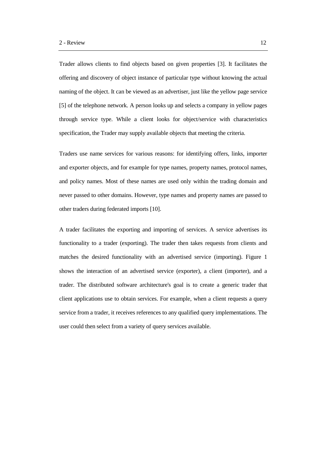Trader allows clients to find objects based on given properties [3]. It facilitates the offering and discovery of object instance of particular type without knowing the actual naming of the object. It can be viewed as an advertiser, just like the yellow page service [5] of the telephone network. A person looks up and selects a company in yellow pages through service type. While a client looks for object/service with characteristics specification, the Trader may supply available objects that meeting the criteria.

Traders use name services for various reasons: for identifying offers, links, importer and exporter objects, and for example for type names, property names, protocol names, and policy names. Most of these names are used only within the trading domain and never passed to other domains. However, type names and property names are passed to other traders during federated imports [10].

A trader facilitates the exporting and importing of services. A service advertises its functionality to a trader (exporting). The trader then takes requests from clients and matches the desired functionality with an advertised service (importing). Figure 1 shows the interaction of an advertised service (exporter), a client (importer), and a trader. The distributed software architecture's goal is to create a generic trader that client applications use to obtain services. For example, when a client requests a query service from a trader, it receives references to any qualified query implementations. The user could then select from a variety of query services available.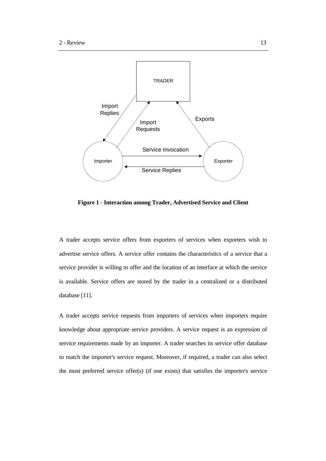

**Figure 1 - Interaction among Trader, Advertised Service and Client**

A trader accepts service offers from exporters of services when exporters wish to advertise service offers. A service offer contains the characteristics of a service that a service provider is willing to offer and the location of an interface at which the service is available. Service offers are stored by the trader in a centralized or a distributed database [11].

A trader accepts service requests from importers of services when importers require knowledge about appropriate service providers. A service request is an expression of service requirements made by an importer. A trader searches its service offer database to match the importer's service request. Moreover, if required, a trader can also select the most preferred service offer(s) (if one exists) that satisfies the importer's service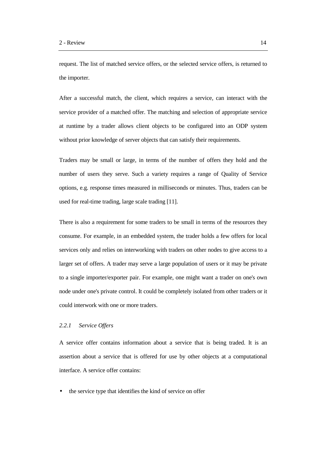request. The list of matched service offers, or the selected service offers, is returned to the importer.

After a successful match, the client, which requires a service, can interact with the service provider of a matched offer. The matching and selection of appropriate service at runtime by a trader allows client objects to be configured into an ODP system without prior knowledge of server objects that can satisfy their requirements.

Traders may be small or large, in terms of the number of offers they hold and the number of users they serve. Such a variety requires a range of Quality of Service options, e.g. response times measured in milliseconds or minutes. Thus, traders can be used for real-time trading, large scale trading [11].

There is also a requirement for some traders to be small in terms of the resources they consume. For example, in an embedded system, the trader holds a few offers for local services only and relies on interworking with traders on other nodes to give access to a larger set of offers. A trader may serve a large population of users or it may be private to a single importer/exporter pair. For example, one might want a trader on one's own node under one's private control. It could be completely isolated from other traders or it could interwork with one or more traders.

### *2.2.1 Service Offers*

A service offer contains information about a service that is being traded. It is an assertion about a service that is offered for use by other objects at a computational interface. A service offer contains:

the service type that identifies the kind of service on offer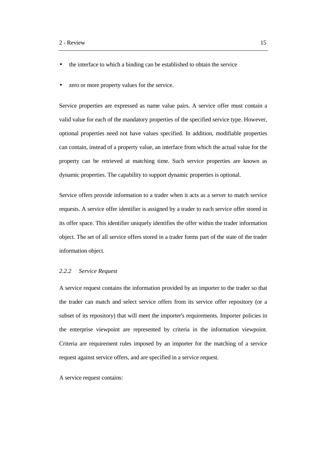- the interface to which a binding can be established to obtain the service
- zero or more property values for the service.

Service properties are expressed as name value pairs. A service offer must contain a valid value for each of the mandatory properties of the specified service type. However, optional properties need not have values specified. In addition, modifiable properties can contain, instead of a property value, an interface from which the actual value for the property can be retrieved at matching time. Such service properties are known as dynamic properties. The capability to support dynamic properties is optional.

Service offers provide information to a trader when it acts as a server to match service requests. A service offer identifier is assigned by a trader to each service offer stored in its offer space. This identifier uniquely identifies the offer within the trader information object. The set of all service offers stored in a trader forms part of the state of the trader information object.

#### *2.2.2 Service Request*

A service request contains the information provided by an importer to the trader so that the trader can match and select service offers from its service offer repository (or a subset of its repository) that will meet the importer's requirements. Importer policies in the enterprise viewpoint are represented by criteria in the information viewpoint. Criteria are requirement rules imposed by an importer for the matching of a service request against service offers, and are specified in a service request.

A service request contains: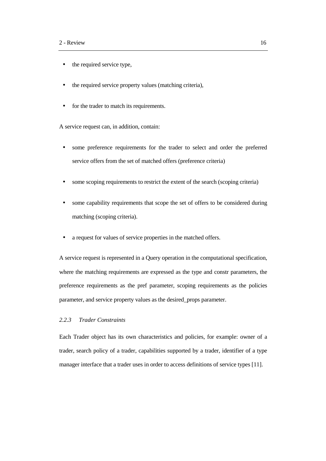- the required service type,
- the required service property values (matching criteria),
- for the trader to match its requirements.

A service request can, in addition, contain:

- some preference requirements for the trader to select and order the preferred service offers from the set of matched offers (preference criteria)
- some scoping requirements to restrict the extent of the search (scoping criteria)
- some capability requirements that scope the set of offers to be considered during matching (scoping criteria).
- a request for values of service properties in the matched offers.

A service request is represented in a Query operation in the computational specification, where the matching requirements are expressed as the type and constr parameters, the preference requirements as the pref parameter, scoping requirements as the policies parameter, and service property values as the desired\_props parameter.

## *2.2.3 Trader Constraints*

Each Trader object has its own characteristics and policies, for example: owner of a trader, search policy of a trader, capabilities supported by a trader, identifier of a type manager interface that a trader uses in order to access definitions of service types [11].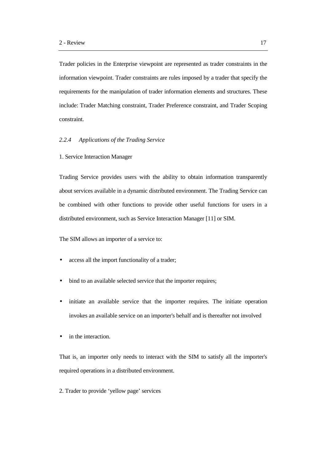Trader policies in the Enterprise viewpoint are represented as trader constraints in the information viewpoint. Trader constraints are rules imposed by a trader that specify the requirements for the manipulation of trader information elements and structures. These include: Trader Matching constraint, Trader Preference constraint, and Trader Scoping constraint.

#### *2.2.4 Applications of the Trading Service*

1. Service Interaction Manager

Trading Service provides users with the ability to obtain information transparently about services available in a dynamic distributed environment. The Trading Service can be combined with other functions to provide other useful functions for users in a distributed environment, such as Service Interaction Manager [11] or SIM.

The SIM allows an importer of a service to:

- access all the import functionality of a trader;
- bind to an available selected service that the importer requires;
- initiate an available service that the importer requires. The initiate operation invokes an available service on an importer's behalf and is thereafter not involved
- in the interaction.

That is, an importer only needs to interact with the SIM to satisfy all the importer's required operations in a distributed environment.

2. Trader to provide 'yellow page' services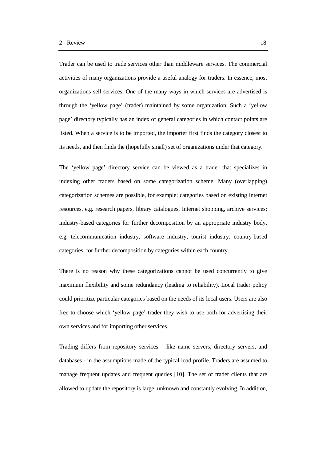Trader can be used to trade services other than middleware services. The commercial activities of many organizations provide a useful analogy for traders. In essence, most organizations sell services. One of the many ways in which services are advertised is through the 'yellow page' (trader) maintained by some organization. Such a 'yellow page' directory typically has an index of general categories in which contact points are listed. When a service is to be imported, the importer first finds the category closest to its needs, and then finds the (hopefully small) set of organizations under that category.

The 'yellow page' directory service can be viewed as a trader that specializes in indexing other traders based on some categorization scheme. Many (overlapping) categorization schemes are possible, for example: categories based on existing Internet resources, e.g. research papers, library catalogues, Internet shopping, archive services; industry-based categories for further decomposition by an appropriate industry body, e.g. telecommunication industry, software industry, tourist industry; country-based categories, for further decomposition by categories within each country.

There is no reason why these categorizations cannot be used concurrently to give maximum flexibility and some redundancy (leading to reliability). Local trader policy could prioritize particular categories based on the needs of its local users. Users are also free to choose which 'yellow page' trader they wish to use both for advertising their own services and for importing other services.

Trading differs from repository services – like name servers, directory servers, and databases - in the assumptions made of the typical load profile. Traders are assumed to manage frequent updates and frequent queries [10]. The set of trader clients that are allowed to update the repository is large, unknown and constantly evolving. In addition,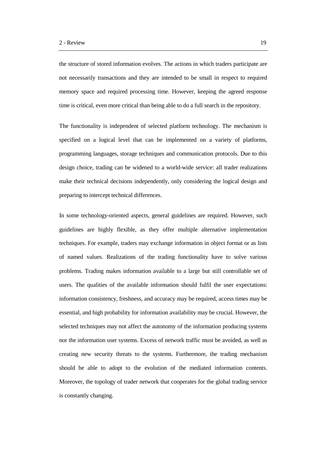the structure of stored information evolves. The actions in which traders participate are not necessarily transactions and they are intended to be small in respect to required memory space and required processing time. However, keeping the agreed response time is critical, even more critical than being able to do a full search in the repository.

The functionality is independent of selected platform technology. The mechanism is specified on a logical level that can be implemented on a variety of platforms, programming languages, storage techniques and communication protocols. Due to this design choice, trading can be widened to a world-wide service: all trader realizations make their technical decisions independently, only considering the logical design and preparing to intercept technical differences.

In some technology-oriented aspects, general guidelines are required. However, such guidelines are highly flexible, as they offer multiple alternative implementation techniques. For example, traders may exchange information in object format or as lists of named values. Realizations of the trading functionality have to solve various problems. Trading makes information available to a large but still controllable set of users. The qualities of the available information should fulfil the user expectations: information consistency, freshness, and accuracy may be required, access times may be essential, and high probability for information availability may be crucial. However, the selected techniques may not affect the autonomy of the information producing systems nor the information user systems. Excess of network traffic must be avoided, as well as creating new security threats to the systems. Furthermore, the trading mechanism should be able to adopt to the evolution of the mediated information contents. Moreover, the topology of trader network that cooperates for the global trading service is constantly changing.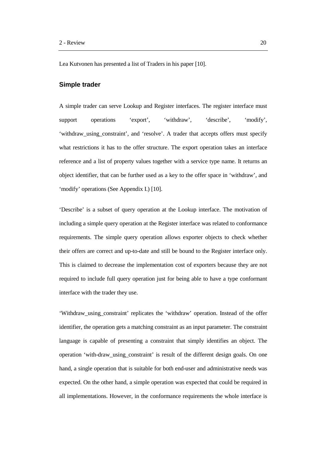Lea Kutvonen has presented a list of Traders in his paper [10].

### **Simple trader**

A simple trader can serve Lookup and Register interfaces. The register interface must support operations 'export', 'withdraw', 'describe', 'modify', 'withdraw\_using\_constraint', and 'resolve'. A trader that accepts offers must specify what restrictions it has to the offer structure. The export operation takes an interface reference and a list of property values together with a service type name. It returns an object identifier, that can be further used as a key to the offer space in 'withdraw', and 'modify' operations (See Appendix I.) [10].

'Describe' is a subset of query operation at the Lookup interface. The motivation of including a simple query operation at the Register interface was related to conformance requirements. The simple query operation allows exporter objects to check whether their offers are correct and up-to-date and still be bound to the Register interface only. This is claimed to decrease the implementation cost of exporters because they are not required to include full query operation just for being able to have a type conformant interface with the trader they use.

'Withdraw\_using\_constraint' replicates the 'withdraw' operation. Instead of the offer identifier, the operation gets a matching constraint as an input parameter. The constraint language is capable of presenting a constraint that simply identifies an object. The operation 'with-draw\_using\_constraint' is result of the different design goals. On one hand, a single operation that is suitable for both end-user and administrative needs was expected. On the other hand, a simple operation was expected that could be required in all implementations. However, in the conformance requirements the whole interface is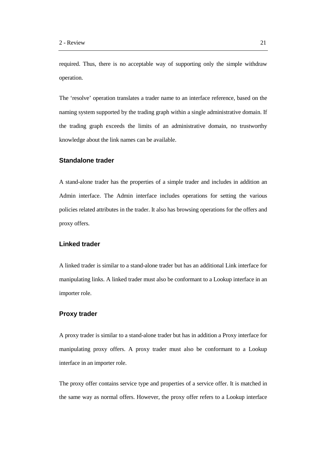required. Thus, there is no acceptable way of supporting only the simple withdraw operation.

The 'resolve' operation translates a trader name to an interface reference, based on the naming system supported by the trading graph within a single administrative domain. If the trading graph exceeds the limits of an administrative domain, no trustworthy knowledge about the link names can be available.

## **Standalone trader**

A stand-alone trader has the properties of a simple trader and includes in addition an Admin interface. The Admin interface includes operations for setting the various policies related attributes in the trader. It also has browsing operations for the offers and proxy offers.

# **Linked trader**

A linked trader is similar to a stand-alone trader but has an additional Link interface for manipulating links. A linked trader must also be conformant to a Lookup interface in an importer role.

### **Proxy trader**

A proxy trader is similar to a stand-alone trader but has in addition a Proxy interface for manipulating proxy offers. A proxy trader must also be conformant to a Lookup interface in an importer role.

The proxy offer contains service type and properties of a service offer. It is matched in the same way as normal offers. However, the proxy offer refers to a Lookup interface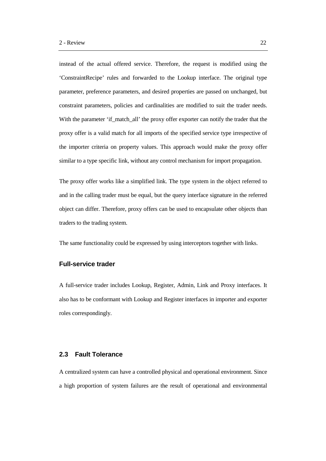instead of the actual offered service. Therefore, the request is modified using the 'ConstraintRecipe' rules and forwarded to the Lookup interface. The original type parameter, preference parameters, and desired properties are passed on unchanged, but constraint parameters, policies and cardinalities are modified to suit the trader needs. With the parameter 'if match all' the proxy offer exporter can notify the trader that the proxy offer is a valid match for all imports of the specified service type irrespective of the importer criteria on property values. This approach would make the proxy offer similar to a type specific link, without any control mechanism for import propagation.

The proxy offer works like a simplified link. The type system in the object referred to and in the calling trader must be equal, but the query interface signature in the referred object can differ. Therefore, proxy offers can be used to encapsulate other objects than traders to the trading system.

The same functionality could be expressed by using interceptors together with links.

## **Full-service trader**

A full-service trader includes Lookup, Register, Admin, Link and Proxy interfaces. It also has to be conformant with Lookup and Register interfaces in importer and exporter roles correspondingly.

## **2.3 Fault Tolerance**

A centralized system can have a controlled physical and operational environment. Since a high proportion of system failures are the result of operational and environmental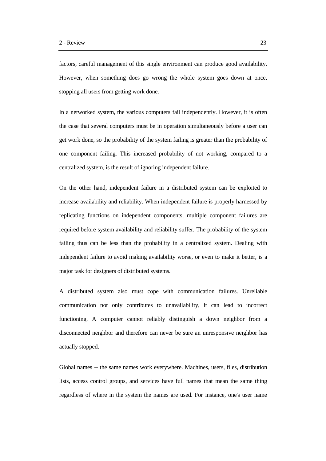factors, careful management of this single environment can produce good availability. However, when something does go wrong the whole system goes down at once, stopping all users from getting work done.

In a networked system, the various computers fail independently. However, it is often the case that several computers must be in operation simultaneously before a user can get work done, so the probability of the system failing is greater than the probability of one component failing. This increased probability of not working, compared to a centralized system, is the result of ignoring independent failure.

On the other hand, independent failure in a distributed system can be exploited to increase availability and reliability. When independent failure is properly harnessed by replicating functions on independent components, multiple component failures are required before system availability and reliability suffer. The probability of the system failing thus can be less than the probability in a centralized system. Dealing with independent failure to avoid making availability worse, or even to make it better, is a major task for designers of distributed systems.

A distributed system also must cope with communication failures. Unreliable communication not only contributes to unavailability, it can lead to incorrect functioning. A computer cannot reliably distinguish a down neighbor from a disconnected neighbor and therefore can never be sure an unresponsive neighbor has actually stopped.

Global names -- the same names work everywhere. Machines, users, files, distribution lists, access control groups, and services have full names that mean the same thing regardless of where in the system the names are used. For instance, one's user name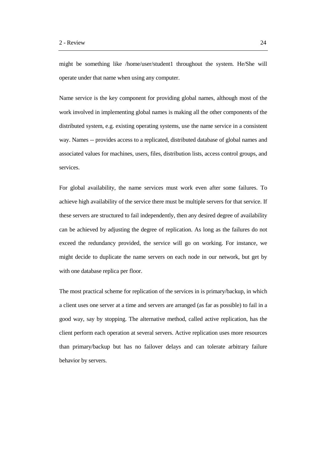might be something like /home/user/student1 throughout the system. He/She will operate under that name when using any computer.

Name service is the key component for providing global names, although most of the work involved in implementing global names is making all the other components of the distributed system, e.g. existing operating systems, use the name service in a consistent way. Names -- provides access to a replicated, distributed database of global names and associated values for machines, users, files, distribution lists, access control groups, and services.

For global availability, the name services must work even after some failures. To achieve high availability of the service there must be multiple servers for that service. If these servers are structured to fail independently, then any desired degree of availability can be achieved by adjusting the degree of replication. As long as the failures do not exceed the redundancy provided, the service will go on working. For instance, we might decide to duplicate the name servers on each node in our network, but get by with one database replica per floor.

The most practical scheme for replication of the services in is primary/backup, in which a client uses one server at a time and servers are arranged (as far as possible) to fail in a good way, say by stopping. The alternative method, called active replication, has the client perform each operation at several servers. Active replication uses more resources than primary/backup but has no failover delays and can tolerate arbitrary failure behavior by servers.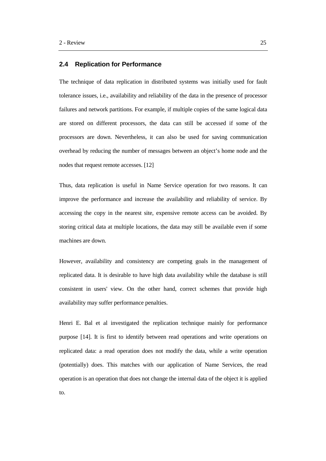## **2.4 Replication for Performance**

The technique of data replication in distributed systems was initially used for fault tolerance issues, i.e., availability and reliability of the data in the presence of processor failures and network partitions. For example, if multiple copies of the same logical data are stored on different processors, the data can still be accessed if some of the processors are down. Nevertheless, it can also be used for saving communication overhead by reducing the number of messages between an object's home node and the nodes that request remote accesses. [12]

Thus, data replication is useful in Name Service operation for two reasons. It can improve the performance and increase the availability and reliability of service. By accessing the copy in the nearest site, expensive remote access can be avoided. By storing critical data at multiple locations, the data may still be available even if some machines are down.

However, availability and consistency are competing goals in the management of replicated data. It is desirable to have high data availability while the database is still consistent in users' view. On the other hand, correct schemes that provide high availability may suffer performance penalties.

Henri E. Bal et al investigated the replication technique mainly for performance purpose [14]. It is first to identify between read operations and write operations on replicated data: a read operation does not modify the data, while a write operation (potentially) does. This matches with our application of Name Services, the read operation is an operation that does not change the internal data of the object it is applied to.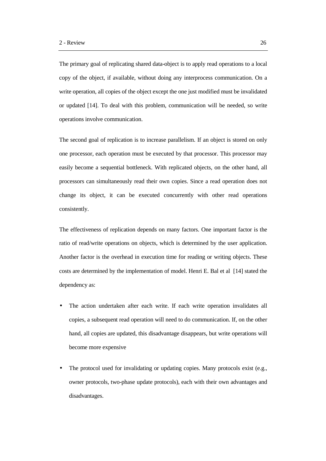The primary goal of replicating shared data-object is to apply read operations to a local copy of the object, if available, without doing any interprocess communication. On a write operation, all copies of the object except the one just modified must be invalidated or updated [14]. To deal with this problem, communication will be needed, so write operations involve communication.

The second goal of replication is to increase parallelism. If an object is stored on only one processor, each operation must be executed by that processor. This processor may easily become a sequential bottleneck. With replicated objects, on the other hand, all processors can simultaneously read their own copies. Since a read operation does not change its object, it can be executed concurrently with other read operations consistently.

The effectiveness of replication depends on many factors. One important factor is the ratio of read/write operations on objects, which is determined by the user application. Another factor is the overhead in execution time for reading or writing objects. These costs are determined by the implementation of model. Henri E. Bal et al [14] stated the dependency as:

- The action undertaken after each write. If each write operation invalidates all copies, a subsequent read operation will need to do communication. If, on the other hand, all copies are updated, this disadvantage disappears, but write operations will become more expensive
- The protocol used for invalidating or updating copies. Many protocols exist (e.g., owner protocols, two-phase update protocols), each with their own advantages and disadvantages.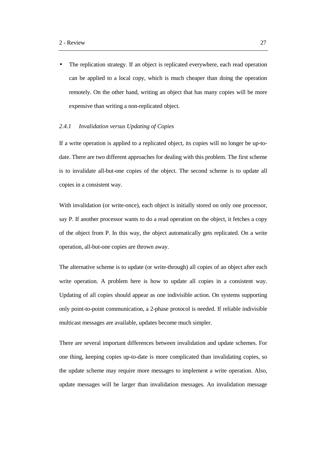The replication strategy. If an object is replicated everywhere, each read operation can be applied to a local copy, which is much cheaper than doing the operation remotely. On the other hand, writing an object that has many copies will be more expensive than writing a non-replicated object.

#### *2.4.1 Invalidation versus Updating of Copies*

If a write operation is applied to a replicated object, its copies will no longer be up-todate. There are two different approaches for dealing with this problem. The first scheme is to invalidate all-but-one copies of the object. The second scheme is to update all copies in a consistent way.

With invalidation (or write-once), each object is initially stored on only one processor, say P. If another processor wants to do a read operation on the object, it fetches a copy of the object from P. In this way, the object automatically gets replicated. On a write operation, all-but-one copies are thrown away.

The alternative scheme is to update (or write-through) all copies of an object after each write operation. A problem here is how to update all copies in a consistent way. Updating of all copies should appear as one indivisible action. On systems supporting only point-to-point communication, a 2-phase protocol is needed. If reliable indivisible multicast messages are available, updates become much simpler.

There are several important differences between invalidation and update schemes. For one thing, keeping copies up-to-date is more complicated than invalidating copies, so the update scheme may require more messages to implement a write operation. Also, update messages will be larger than invalidation messages. An invalidation message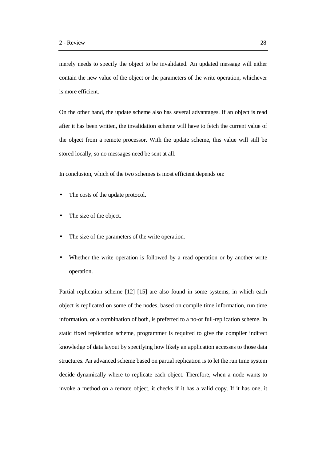merely needs to specify the object to be invalidated. An updated message will either contain the new value of the object or the parameters of the write operation, whichever is more efficient.

On the other hand, the update scheme also has several advantages. If an object is read after it has been written, the invalidation scheme will have to fetch the current value of the object from a remote processor. With the update scheme, this value will still be stored locally, so no messages need be sent at all.

In conclusion, which of the two schemes is most efficient depends on:

- The costs of the update protocol.
- The size of the object.
- The size of the parameters of the write operation.
- Whether the write operation is followed by a read operation or by another write operation.

Partial replication scheme [12] [15] are also found in some systems, in which each object is replicated on some of the nodes, based on compile time information, run time information, or a combination of both, is preferred to a no-or full-replication scheme. In static fixed replication scheme, programmer is required to give the compiler indirect knowledge of data layout by specifying how likely an application accesses to those data structures. An advanced scheme based on partial replication is to let the run time system decide dynamically where to replicate each object. Therefore, when a node wants to invoke a method on a remote object, it checks if it has a valid copy. If it has one, it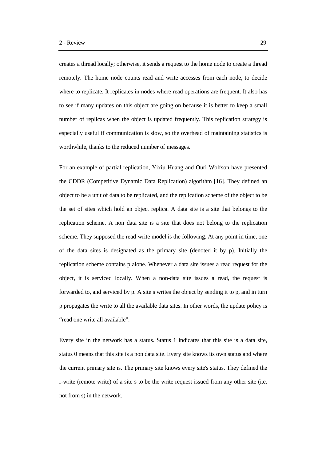creates a thread locally; otherwise, it sends a request to the home node to create a thread remotely. The home node counts read and write accesses from each node, to decide where to replicate. It replicates in nodes where read operations are frequent. It also has to see if many updates on this object are going on because it is better to keep a small number of replicas when the object is updated frequently. This replication strategy is especially useful if communication is slow, so the overhead of maintaining statistics is worthwhile, thanks to the reduced number of messages.

For an example of partial replication, Yixiu Huang and Ouri Wolfson have presented the CDDR (Competitive Dynamic Data Replication) algorithm [16]. They defined an object to be a unit of data to be replicated, and the replication scheme of the object to be the set of sites which hold an object replica. A data site is a site that belongs to the replication scheme. A non data site is a site that does not belong to the replication scheme. They supposed the read-write model is the following. At any point in time, one of the data sites is designated as the primary site (denoted it by p). Initially the replication scheme contains p alone. Whenever a data site issues a read request for the object, it is serviced locally. When a non-data site issues a read, the request is forwarded to, and serviced by p. A site s writes the object by sending it to p, and in turn p propagates the write to all the available data sites. In other words, the update policy is "read one write all available".

Every site in the network has a status. Status 1 indicates that this site is a data site, status 0 means that this site is a non data site. Every site knows its own status and where the current primary site is. The primary site knows every site's status. They defined the r-write (remote write) of a site s to be the write request issued from any other site (i.e. not from s) in the network.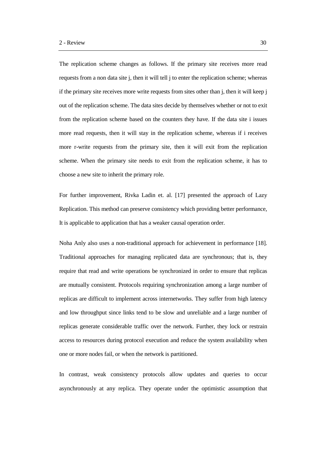The replication scheme changes as follows. If the primary site receives more read requests from a non data site j, then it will tell j to enter the replication scheme; whereas if the primary site receives more write requests from sites other than  $\mathbf{j}$ , then it will keep  $\mathbf{j}$ out of the replication scheme. The data sites decide by themselves whether or not to exit from the replication scheme based on the counters they have. If the data site i issues more read requests, then it will stay in the replication scheme, whereas if i receives more r-write requests from the primary site, then it will exit from the replication scheme. When the primary site needs to exit from the replication scheme, it has to choose a new site to inherit the primary role.

For further improvement, Rivka Ladin et. al. [17] presented the approach of Lazy Replication. This method can preserve consistency which providing better performance, It is applicable to application that has a weaker causal operation order.

Noha Anly also uses a non-traditional approach for achievement in performance [18]. Traditional approaches for managing replicated data are synchronous; that is, they require that read and write operations be synchronized in order to ensure that replicas are mutually consistent. Protocols requiring synchronization among a large number of replicas are difficult to implement across internetworks. They suffer from high latency and low throughput since links tend to be slow and unreliable and a large number of replicas generate considerable traffic over the network. Further, they lock or restrain access to resources during protocol execution and reduce the system availability when one or more nodes fail, or when the network is partitioned.

In contrast, weak consistency protocols allow updates and queries to occur asynchronously at any replica. They operate under the optimistic assumption that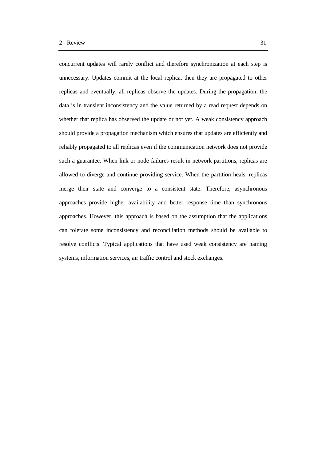concurrent updates will rarely conflict and therefore synchronization at each step is unnecessary. Updates commit at the local replica, then they are propagated to other replicas and eventually, all replicas observe the updates. During the propagation, the data is in transient inconsistency and the value returned by a read request depends on whether that replica has observed the update or not yet. A weak consistency approach should provide a propagation mechanism which ensures that updates are efficiently and reliably propagated to all replicas even if the communication network does not provide such a guarantee. When link or node failures result in network partitions, replicas are allowed to diverge and continue providing service. When the partition heals, replicas merge their state and converge to a consistent state. Therefore, asynchronous approaches provide higher availability and better response time than synchronous approaches. However, this approach is based on the assumption that the applications can tolerate some inconsistency and reconciliation methods should be available to resolve conflicts. Typical applications that have used weak consistency are naming systems, information services, air traffic control and stock exchanges.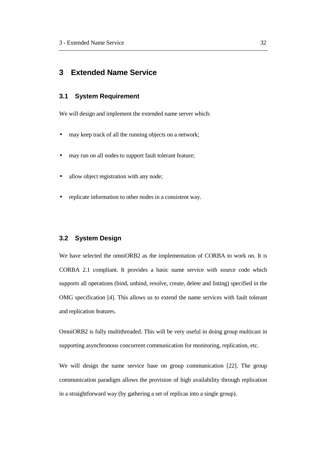# **3 Extended Name Service**

# **3.1 System Requirement**

We will design and implement the extended name server which:

- may keep track of all the running objects on a network;
- may run on all nodes to support fault tolerant feature;
- allow object registration with any node;
- replicate information to other nodes in a consistent way.

# **3.2 System Design**

We have selected the omniORB2 as the implementation of CORBA to work on. It is CORBA 2.1 compliant. It provides a basic name service with source code which supports all operations (bind, unbind, resolve, create, delete and listing) specified in the OMG specification [4]. This allows us to extend the name services with fault tolerant and replication features.

OmniORB2 is fully multithreaded. This will be very useful in doing group multicast in supporting asynchronous concurrent communication for monitoring, replication, etc.

We will design the name service base on group communication [22]. The group communication paradigm allows the provision of high availability through replication in a straightforward way (by gathering a set of replicas into a single group).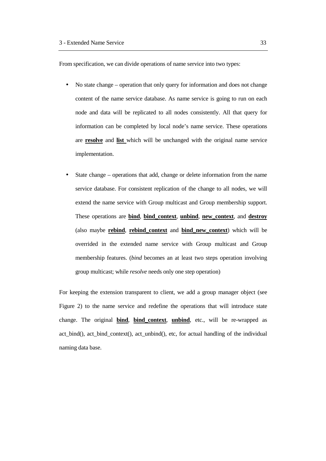From specification, we can divide operations of name service into two types:

- No state change operation that only query for information and does not change content of the name service database. As name service is going to run on each node and data will be replicated to all nodes consistently. All that query for information can be completed by local node's name service. These operations are **resolve** and **list** which will be unchanged with the original name service implementation.
- State change operations that add, change or delete information from the name service database. For consistent replication of the change to all nodes, we will extend the name service with Group multicast and Group membership support. These operations are **bind**, **bind\_context**, **unbind**, **new\_context**, and **destroy** (also maybe **rebind**, **rebind\_context** and **bind\_new\_context**) which will be overrided in the extended name service with Group multicast and Group membership features. (*bind* becomes an at least two steps operation involving group multicast; while *resolve* needs only one step operation)

For keeping the extension transparent to client, we add a group manager object (see Figure 2) to the name service and redefine the operations that will introduce state change. The original **bind**, **bind\_context**, **unbind**, etc., will be re-wrapped as act\_bind(), act\_bind\_context(), act\_unbind(), etc, for actual handling of the individual naming data base.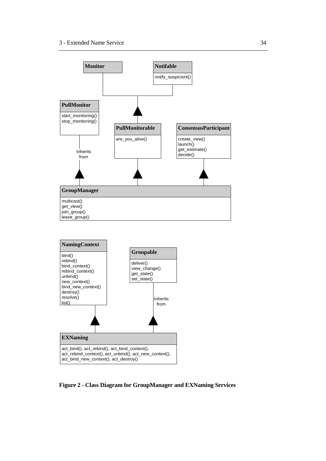

**Figure 2 - Class Diagram for GroupManager and EXNaming Services**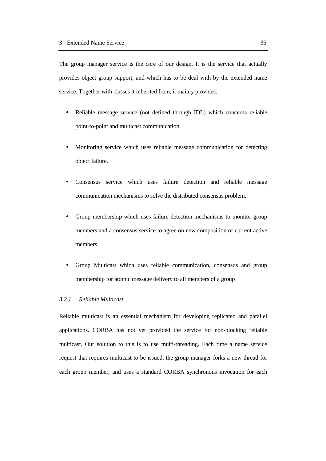The group manager service is the core of our design. It is the service that actually provides object group support, and which has to be deal with by the extended name service. Together with classes it inherited from, it mainly provides:

- Reliable message service (not defined through IDL) which concerns reliable point-to-point and multicast communication.
- Monitoring service which uses reliable message communication for detecting object failure.
- Consensus service which uses failure detection and reliable message communication mechanisms to solve the distributed consensus problem.
- Group membership which uses failure detection mechanisms to monitor group members and a consensus service to agree on new composition of current active members.
- Group Multicast which uses reliable communication, consensus and group membership for atomic message delivery to all members of a group

#### *3.2.1 Reliable Multicast*

Reliable multicast is an essential mechanism for developing replicated and parallel applications. CORBA has not yet provided the service for non-blocking reliable multicast. Our solution to this is to use multi-threading. Each time a name service request that requires multicast to be issued, the group manager forks a new thread for each group member, and uses a standard CORBA synchronous invocation for each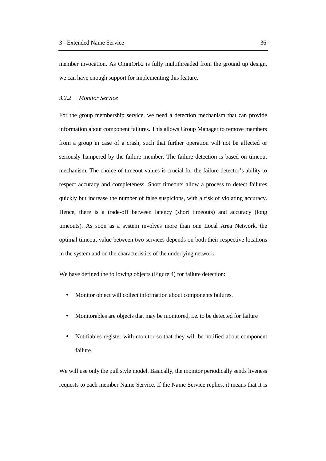member invocation. As OmniOrb2 is fully multithreaded from the ground up design, we can have enough support for implementing this feature.

#### *3.2.2 Monitor Service*

For the group membership service, we need a detection mechanism that can provide information about component failures. This allows Group Manager to remove members from a group in case of a crash, such that further operation will not be affected or seriously hampered by the failure member. The failure detection is based on timeout mechanism. The choice of timeout values is crucial for the failure detector's ability to respect accuracy and completeness. Short timeouts allow a process to detect failures quickly but increase the number of false suspicions, with a risk of violating accuracy. Hence, there is a trade-off between latency (short timeouts) and accuracy (long timeouts). As soon as a system involves more than one Local Area Network, the optimal timeout value between two services depends on both their respective locations in the system and on the characteristics of the underlying network.

We have defined the following objects (Figure 4) for failure detection:

- Monitor object will collect information about components failures.
- Monitorables are objects that may be monitored, i.e. to be detected for failure
- Notifiables register with monitor so that they will be notified about component failure.

We will use only the pull style model. Basically, the monitor periodically sends liveness requests to each member Name Service. If the Name Service replies, it means that it is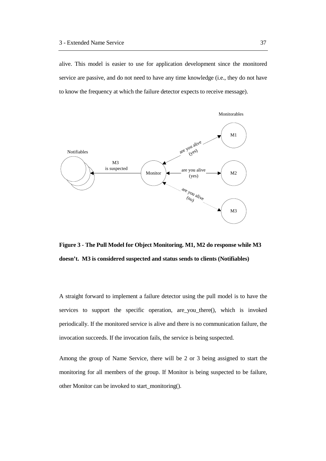alive. This model is easier to use for application development since the monitored service are passive, and do not need to have any time knowledge (i.e., they do not have to know the frequency at which the failure detector expects to receive message).



**Figure 3 - The Pull Model for Object Monitoring. M1, M2 do response while M3 doesn't. M3 is considered suspected and status sends to clients (Notifiables)**

A straight forward to implement a failure detector using the pull model is to have the services to support the specific operation, are you there(), which is invoked periodically. If the monitored service is alive and there is no communication failure, the invocation succeeds. If the invocation fails, the service is being suspected.

Among the group of Name Service, there will be 2 or 3 being assigned to start the monitoring for all members of the group. If Monitor is being suspected to be failure, other Monitor can be invoked to start\_monitoring().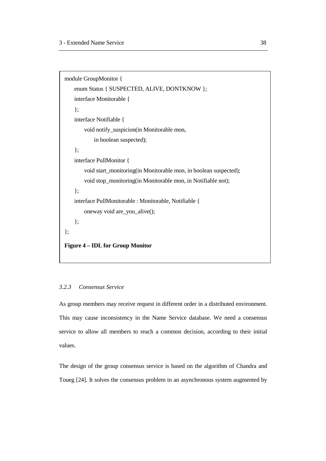```
module GroupMonitor {
    enum Status { SUSPECTED, ALIVE, DONTKNOW };
   interface Monitorable {
    };
    interface Notifiable {
        void notify_suspicion(in Monitorable mon,
           in boolean suspected);
    };
   interface PullMonitor {
        void start_monitoring(in Monitorable mon, in boolean suspected);
        void stop_monitoring(in Monitorable mon, in Notifiable not);
    };
    interface PullMonitorable : Monitorable, Notifiable {
        oneway void are_you_alive();
    };
};
Figure 4 – IDL for Group Monitor
```
#### *3.2.3 Consensus Service*

As group members may receive request in different order in a distributed environment. This may cause inconsistency in the Name Service database. We need a consensus service to allow all members to reach a common decision, according to their initial values.

The design of the group consensus service is based on the algorithm of Chandra and Toueg [24]. It solves the consensus problem in an asynchronous system augmented by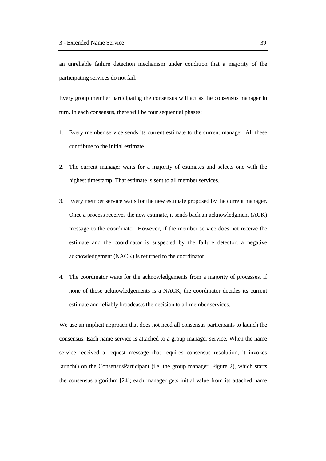an unreliable failure detection mechanism under condition that a majority of the participating services do not fail.

Every group member participating the consensus will act as the consensus manager in turn. In each consensus, there will be four sequential phases:

- 1. Every member service sends its current estimate to the current manager. All these contribute to the initial estimate.
- 2. The current manager waits for a majority of estimates and selects one with the highest timestamp. That estimate is sent to all member services.
- 3. Every member service waits for the new estimate proposed by the current manager. Once a process receives the new estimate, it sends back an acknowledgment (ACK) message to the coordinator. However, if the member service does not receive the estimate and the coordinator is suspected by the failure detector, a negative acknowledgement (NACK) is returned to the coordinator.
- 4. The coordinator waits for the acknowledgements from a majority of processes. If none of those acknowledgements is a NACK, the coordinator decides its current estimate and reliably broadcasts the decision to all member services.

We use an implicit approach that does not need all consensus participants to launch the consensus. Each name service is attached to a group manager service. When the name service received a request message that requires consensus resolution, it invokes launch() on the ConsensusParticipant (i.e. the group manager, Figure 2), which starts the consensus algorithm [24]; each manager gets initial value from its attached name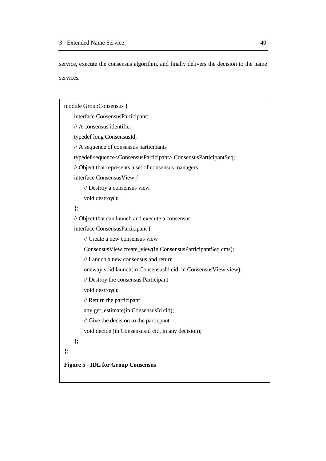service, execute the consensus algorithm, and finally delivers the decision to the name services.

```
module GroupConsensus {
    interface ConsensusParticipant;
   // A consensus identifier
    typedef long ConsensusId;
   // A sequence of consensus participants
    typedef sequence<ConsensusParticipant> ConsensusParticipantSeq;
   // Object that represents a set of consensus managers
    interface ConsensusView {
       // Destroy a consensus view
        void destroy();
    };
   // Object that can lanuch and execute a consensus
    interface ConsensusParticipant {
       // Create a new consensus view
        ConsensusView create_view(in ConsensusParticipantSeq cms);
       // Lanuch a new consensus and return
        oneway void launch(in ConsensusId cid, in ConsensusView view);
       // Destroy the consensus Participant
        void destroy();
       // Return the participant
        any get_estimate(in ConsensusId cid);
       // Give the decision to the particpant
        void decide (in ConsensusId cid, in any decision);
    };
};
Figure 5 - IDL for Group Consensus
```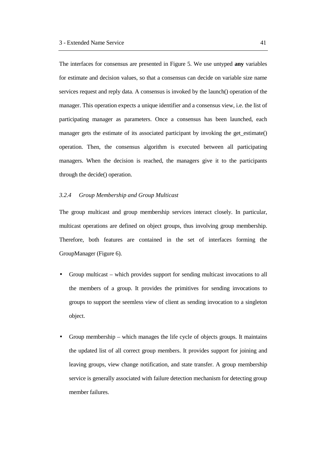The interfaces for consensus are presented in Figure 5. We use untyped **any** variables for estimate and decision values, so that a consensus can decide on variable size name services request and reply data. A consensus is invoked by the launch() operation of the manager. This operation expects a unique identifier and a consensus view, i.e. the list of participating manager as parameters. Once a consensus has been launched, each manager gets the estimate of its associated participant by invoking the get estimate() operation. Then, the consensus algorithm is executed between all participating managers. When the decision is reached, the managers give it to the participants through the decide() operation.

#### *3.2.4 Group Membership and Group Multicast*

The group multicast and group membership services interact closely. In particular, multicast operations are defined on object groups, thus involving group membership. Therefore, both features are contained in the set of interfaces forming the GroupManager (Figure 6).

- Group multicast which provides support for sending multicast invocations to all the members of a group. It provides the primitives for sending invocations to groups to support the seemless view of client as sending invocation to a singleton object.
- Group membership which manages the life cycle of objects groups. It maintains the updated list of all correct group members. It provides support for joining and leaving groups, view change notification, and state transfer. A group membership service is generally associated with failure detection mechanism for detecting group member failures.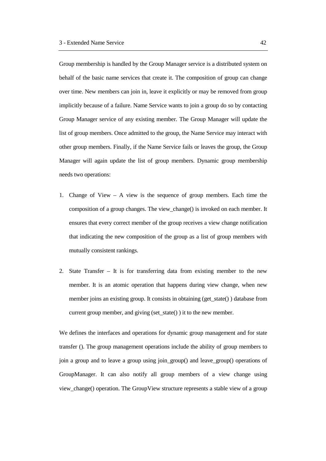Group membership is handled by the Group Manager service is a distributed system on behalf of the basic name services that create it. The composition of group can change over time. New members can join in, leave it explicitly or may be removed from group implicitly because of a failure. Name Service wants to join a group do so by contacting Group Manager service of any existing member. The Group Manager will update the list of group members. Once admitted to the group, the Name Service may interact with other group members. Finally, if the Name Service fails or leaves the group, the Group Manager will again update the list of group members. Dynamic group membership needs two operations:

- 1. Change of View A view is the sequence of group members. Each time the composition of a group changes. The view\_change() is invoked on each member. It ensures that every correct member of the group receives a view change notification that indicating the new composition of the group as a list of group members with mutually consistent rankings.
- 2. State Transfer It is for transferring data from existing member to the new member. It is an atomic operation that happens during view change, when new member joins an existing group. It consists in obtaining (get\_state() ) database from current group member, and giving (set\_state() ) it to the new member.

We defines the interfaces and operations for dynamic group management and for state transfer (). The group management operations include the ability of group members to join a group and to leave a group using join\_group() and leave\_group() operations of GroupManager. It can also notify all group members of a view change using view\_change() operation. The GroupView structure represents a stable view of a group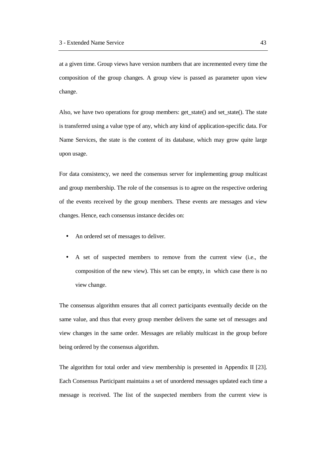at a given time. Group views have version numbers that are incremented every time the composition of the group changes. A group view is passed as parameter upon view change.

Also, we have two operations for group members: get\_state() and set\_state(). The state is transferred using a value type of any, which any kind of application-specific data. For Name Services, the state is the content of its database, which may grow quite large upon usage.

For data consistency, we need the consensus server for implementing group multicast and group membership. The role of the consensus is to agree on the respective ordering of the events received by the group members. These events are messages and view changes. Hence, each consensus instance decides on:

- An ordered set of messages to deliver.
- A set of suspected members to remove from the current view (i.e., the composition of the new view). This set can be empty, in which case there is no view change.

The consensus algorithm ensures that all correct participants eventually decide on the same value, and thus that every group member delivers the same set of messages and view changes in the same order. Messages are reliably multicast in the group before being ordered by the consensus algorithm.

The algorithm for total order and view membership is presented in Appendix II [23]. Each Consensus Participant maintains a set of unordered messages updated each time a message is received. The list of the suspected members from the current view is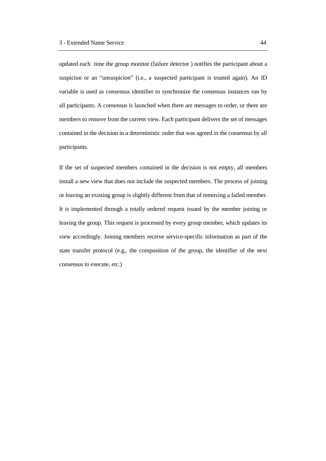updated each time the group monitor (failure detector ) notifies the participant about a suspicion or an "unsuspicion" (i.e., a suspected participant is trusted again). An ID variable is used as consensus identifier to synchronize the consensus instances run by all participants. A consensus is launched when there are messages to order, or there are members to remove from the current view. Each participant delivers the set of messages contained in the decision in a deterministic order that was agreed in the consensus by all participants.

If the set of suspected members contained in the decision is not empty, all members install a new view that does not include the suspected members. The process of joining or leaving an existing group is slightly different from that of removing a failed member. It is implemented through a totally ordered request issued by the member joining or leaving the group. This request is processed by every group member, which updates its view accordingly. Joining members receive service-specific information as part of the state transfer protocol (e.g., the composition of the group, the identifier of the next consensus to execute, etc.)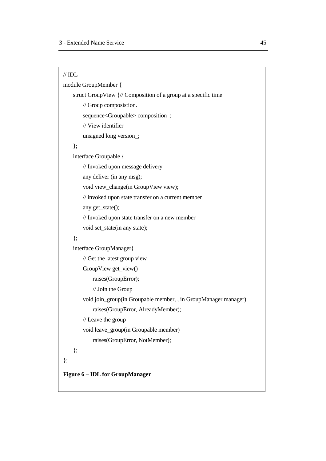module GroupMember { struct GroupView {// Composition of a group at a specific time // Group composistion. sequence<Groupable> composition\_; // View identifier unsigned long version\_; }; interface Groupable { // Invoked upon message delivery any deliver (in any msg); void view\_change(in GroupView view); // invoked upon state transfer on a current member any get\_state(); // Invoked upon state transfer on a new member void set\_state(in any state);

# };

interface GroupManager{

// Get the latest group view

GroupView get\_view()

raises(GroupError);

// Join the Group

void join\_group(in Groupable member, , in GroupManager manager) raises(GroupError, AlreadyMember);

// Leave the group

void leave\_group(in Groupable member)

```
raises(GroupError, NotMember);
```
};

};

**Figure 6 – IDL for GroupManager**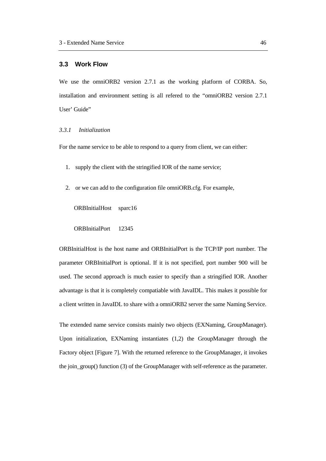# **3.3 Work Flow**

We use the omniORB2 version 2.7.1 as the working platform of CORBA. So, installation and environment setting is all refered to the "omniORB2 version 2.7.1 User' Guide"

# *3.3.1 Initialization*

For the name service to be able to respond to a query from client, we can either:

- 1. supply the client with the stringified IOR of the name service;
- 2. or we can add to the configuration file omniORB.cfg. For example,

ORBInitialHost sparc16

ORBInitialPort 12345

ORBInitialHost is the host name and ORBInitialPort is the TCP/IP port number. The parameter ORBInitialPort is optional. If it is not specified, port number 900 will be used. The second approach is much easier to specify than a stringified IOR. Another advantage is that it is completely compatiable with JavaIDL. This makes it possible for a client written in JavaIDL to share with a omniORB2 server the same Naming Service.

The extended name service consists mainly two objects (EXNaming, GroupManager). Upon initialization, EXNaming instantiates (1,2) the GroupManager through the Factory object [Figure 7]. With the returned reference to the GroupManager, it invokes the join group() function (3) of the GroupManager with self-reference as the parameter.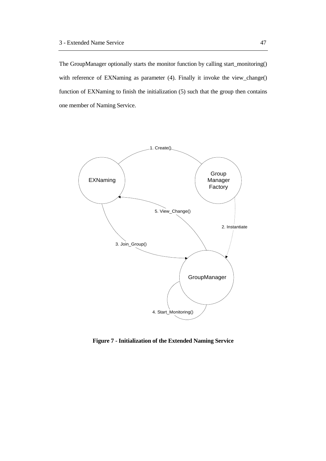The GroupManager optionally starts the monitor function by calling start\_monitoring() with reference of EXNaming as parameter (4). Finally it invoke the view\_change() function of EXNaming to finish the initialization (5) such that the group then contains one member of Naming Service.



**Figure 7 - Initialization of the Extended Naming Service**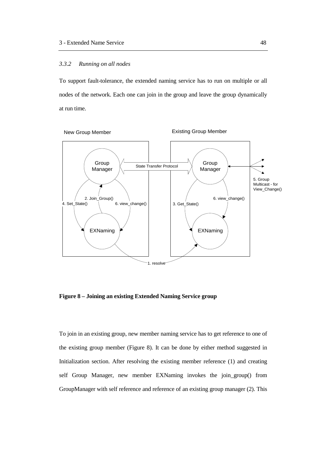#### *3.3.2 Running on all nodes*

To support fault-tolerance, the extended naming service has to run on multiple or all nodes of the network. Each one can join in the group and leave the group dynamically at run time.



**Figure 8 – Joining an existing Extended Naming Service group**

To join in an existing group, new member naming service has to get reference to one of the existing group member (Figure 8). It can be done by either method suggested in Initialization section. After resolving the existing member reference (1) and creating self Group Manager, new member EXNaming invokes the join\_group() from GroupManager with self reference and reference of an existing group manager (2). This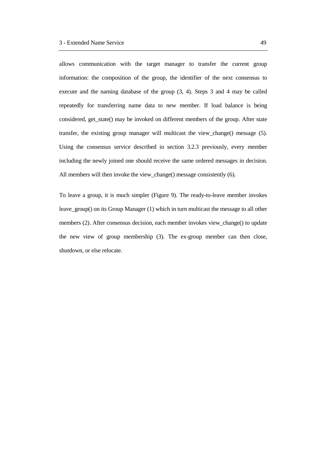allows communication with the target manager to transfer the current group information: the composition of the group, the identifier of the next consensus to execute and the naming database of the group (3, 4). Steps 3 and 4 may be called repeatedly for transferring name data to new member. If load balance is being considered, get state() may be invoked on different members of the group. After state transfer, the existing group manager will multicast the view\_change() message (5). Using the consensus service described in section 3.2.3 previously, every member including the newly joined one should receive the same ordered messages in decision. All members will then invoke the view change() message consistently (6).

To leave a group, it is much simpler (Figure 9). The ready-to-leave member invokes leave\_group() on its Group Manager (1) which in turn multicast the message to all other members (2). After consensus decision, each member invokes view\_change() to update the new view of group membership (3). The ex-group member can then close, shutdown, or else relocate.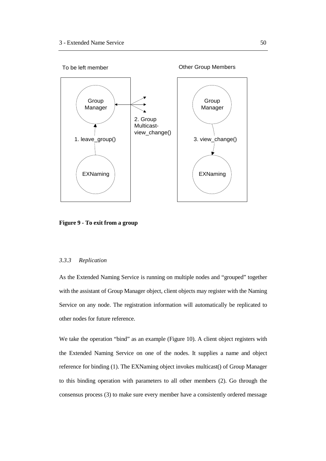

**Figure 9 - To exit from a group**

# *3.3.3 Replication*

As the Extended Naming Service is running on multiple nodes and "grouped" together with the assistant of Group Manager object, client objects may register with the Naming Service on any node. The registration information will automatically be replicated to other nodes for future reference.

We take the operation "bind" as an example (Figure 10). A client object registers with the Extended Naming Service on one of the nodes. It supplies a name and object reference for binding (1). The EXNaming object invokes multicast() of Group Manager to this binding operation with parameters to all other members (2). Go through the consensus process (3) to make sure every member have a consistently ordered message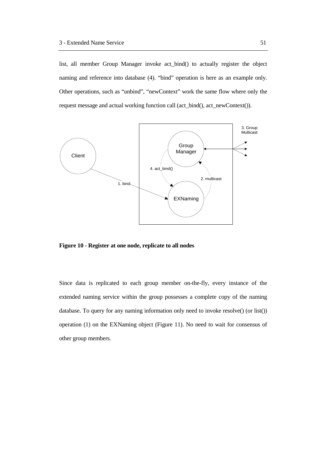list, all member Group Manager invoke act\_bind() to actually register the object naming and reference into database (4). "bind" operation is here as an example only. Other operations, such as "unbind", "newContext" work the same flow where only the request message and actual working function call (act\_bind(), act\_newContext()).



**Figure 10 - Register at one node, replicate to all nodes**

Since data is replicated to each group member on-the-fly, every instance of the extended naming service within the group possesses a complete copy of the naming database. To query for any naming information only need to invoke resolve() (or list()) operation (1) on the EXNaming object (Figure 11). No need to wait for consensus of other group members.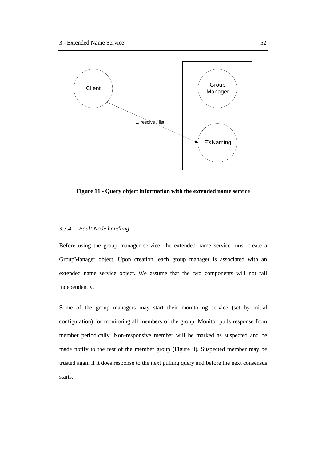

**Figure 11 - Query object information with the extended name service**

#### *3.3.4 Fault Node handling*

Before using the group manager service, the extended name service must create a GroupManager object. Upon creation, each group manager is associated with an extended name service object. We assume that the two components will not fail independently.

Some of the group managers may start their monitoring service (set by initial configuration) for monitoring all members of the group. Monitor pulls response from member periodically. Non-responsive member will be marked as suspected and be made notify to the rest of the member group (Figure 3). Suspected member may be trusted again if it does response to the next pulling query and before the next consensus starts.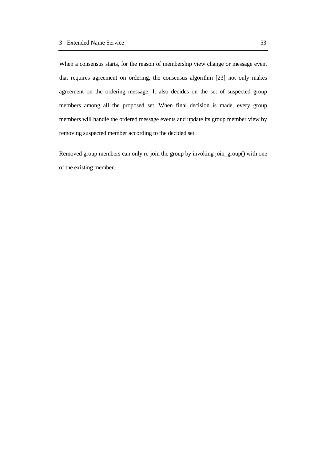When a consensus starts, for the reason of membership view change or message event that requires agreement on ordering, the consensus algorithm [23] not only makes agreement on the ordering message. It also decides on the set of suspected group members among all the proposed set. When final decision is made, every group members will handle the ordered message events and update its group member view by removing suspected member according to the decided set.

Removed group members can only re-join the group by invoking join\_group() with one of the existing member.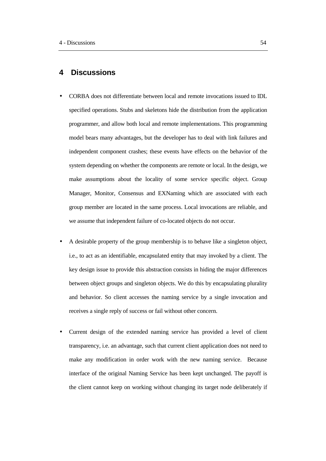# **4 Discussions**

- CORBA does not differentiate between local and remote invocations issued to IDL specified operations. Stubs and skeletons hide the distribution from the application programmer, and allow both local and remote implementations. This programming model bears many advantages, but the developer has to deal with link failures and independent component crashes; these events have effects on the behavior of the system depending on whether the components are remote or local. In the design, we make assumptions about the locality of some service specific object. Group Manager, Monitor, Consensus and EXNaming which are associated with each group member are located in the same process. Local invocations are reliable, and we assume that independent failure of co-located objects do not occur.
- A desirable property of the group membership is to behave like a singleton object, i.e., to act as an identifiable, encapsulated entity that may invoked by a client. The key design issue to provide this abstraction consists in hiding the major differences between object groups and singleton objects. We do this by encapsulating plurality and behavior. So client accesses the naming service by a single invocation and receives a single reply of success or fail without other concern.
- Current design of the extended naming service has provided a level of client transparency, i.e. an advantage, such that current client application does not need to make any modification in order work with the new naming service. Because interface of the original Naming Service has been kept unchanged. The payoff is the client cannot keep on working without changing its target node deliberately if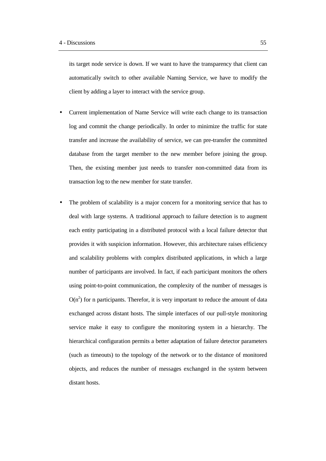its target node service is down. If we want to have the transparency that client can automatically switch to other available Naming Service, we have to modify the client by adding a layer to interact with the service group.

- Current implementation of Name Service will write each change to its transaction log and commit the change periodically. In order to minimize the traffic for state transfer and increase the availability of service, we can pre-transfer the committed database from the target member to the new member before joining the group. Then, the existing member just needs to transfer non-committed data from its transaction log to the new member for state transfer.
- The problem of scalability is a major concern for a monitoring service that has to deal with large systems. A traditional approach to failure detection is to augment each entity participating in a distributed protocol with a local failure detector that provides it with suspicion information. However, this architecture raises efficiency and scalability problems with complex distributed applications, in which a large number of participants are involved. In fact, if each participant monitors the others using point-to-point communication, the complexity of the number of messages is  $O(n^2)$  for n participants. Therefor, it is very important to reduce the amount of data exchanged across distant hosts. The simple interfaces of our pull-style monitoring service make it easy to configure the monitoring system in a hierarchy. The hierarchical configuration permits a better adaptation of failure detector parameters (such as timeouts) to the topology of the network or to the distance of monitored objects, and reduces the number of messages exchanged in the system between distant hosts.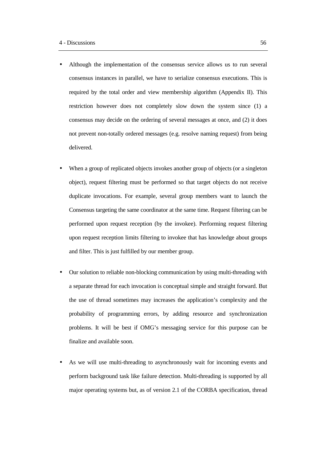- Although the implementation of the consensus service allows us to run several consensus instances in parallel, we have to serialize consensus executions. This is required by the total order and view membership algorithm (Appendix II). This restriction however does not completely slow down the system since (1) a consensus may decide on the ordering of several messages at once, and (2) it does not prevent non-totally ordered messages (e.g. resolve naming request) from being delivered.
- When a group of replicated objects invokes another group of objects (or a singleton object), request filtering must be performed so that target objects do not receive duplicate invocations. For example, several group members want to launch the Consensus targeting the same coordinator at the same time. Request filtering can be performed upon request reception (by the invokee). Performing request filtering upon request reception limits filtering to invokee that has knowledge about groups and filter. This is just fulfilled by our member group.
- Our solution to reliable non-blocking communication by using multi-threading with a separate thread for each invocation is conceptual simple and straight forward. But the use of thread sometimes may increases the application's complexity and the probability of programming errors, by adding resource and synchronization problems. It will be best if OMG's messaging service for this purpose can be finalize and available soon.
- As we will use multi-threading to asynchronously wait for incoming events and perform background task like failure detection. Multi-threading is supported by all major operating systems but, as of version 2.1 of the CORBA specification, thread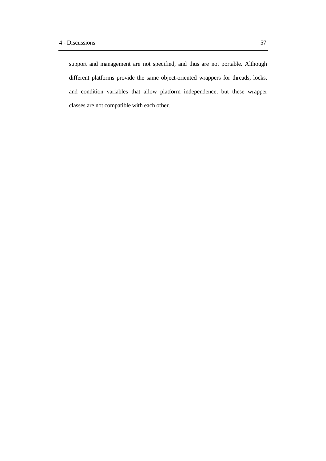support and management are not specified, and thus are not portable. Although different platforms provide the same object-oriented wrappers for threads, locks, and condition variables that allow platform independence, but these wrapper classes are not compatible with each other.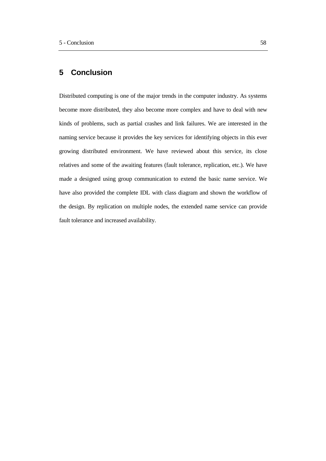# **5 Conclusion**

Distributed computing is one of the major trends in the computer industry. As systems become more distributed, they also become more complex and have to deal with new kinds of problems, such as partial crashes and link failures. We are interested in the naming service because it provides the key services for identifying objects in this ever growing distributed environment. We have reviewed about this service, its close relatives and some of the awaiting features (fault tolerance, replication, etc.). We have made a designed using group communication to extend the basic name service. We have also provided the complete IDL with class diagram and shown the workflow of the design. By replication on multiple nodes, the extended name service can provide fault tolerance and increased availability.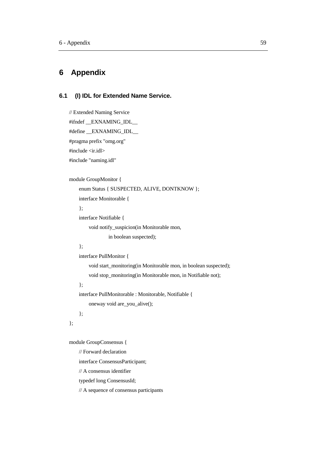# **6 Appendix**

## **6.1 (I) IDL for Extended Name Service.**

```
// Extended Naming Service
#ifndef __EXNAMING_IDL__
#define __EXNAMING_IDL__
#pragma prefix "omg.org"
#include <ir.idl>
#include "naming.idl"
```

```
module GroupMonitor {
```

```
enum Status { SUSPECTED, ALIVE, DONTKNOW };
interface Monitorable {
};
```

```
interface Notifiable {
    void notify_suspicion(in Monitorable mon,
             in boolean suspected);
```
#### };

```
interface PullMonitor {
```
void start\_monitoring(in Monitorable mon, in boolean suspected); void stop\_monitoring(in Monitorable mon, in Notifiable not);

## };

};

interface PullMonitorable : Monitorable, Notifiable {

```
oneway void are_you_alive();
```

```
};
```
module GroupConsensus {

```
// Forward declaration
```
interface ConsensusParticipant;

```
// A consensus identifier
```
typedef long ConsensusId;

// A sequence of consensus participants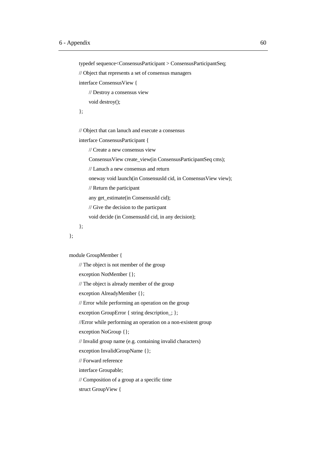typedef sequence<ConsensusParticipant > ConsensusParticipantSeq;

// Object that represents a set of consensus managers

interface ConsensusView {

// Destroy a consensus view

void destroy();

};

// Object that can lanuch and execute a consensus

interface ConsensusParticipant {

// Create a new consensus view

ConsensusView create\_view(in ConsensusParticipantSeq cms);

// Lanuch a new consensus and return

oneway void launch(in ConsensusId cid, in ConsensusView view);

// Return the participant

any get\_estimate(in ConsensusId cid);

// Give the decision to the particpant

void decide (in ConsensusId cid, in any decision);

};

};

module GroupMember {

// The object is not member of the group

exception NotMember {};

// The object is already member of the group

exception AlreadyMember {};

// Error while performing an operation on the group

exception GroupError { string description\_; };

//Error while performing an operation on a non-existent group

exception NoGroup {};

// Invalid group name (e.g. containing invalid characters)

exception InvalidGroupName {};

// Forward reference

interface Groupable;

// Composition of a group at a specific time

struct GroupView {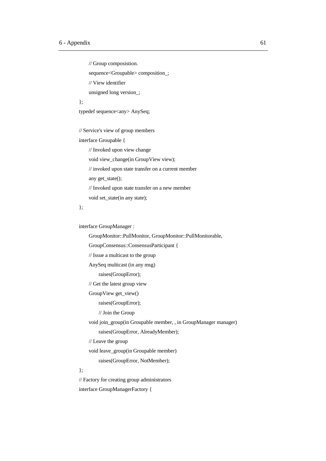```
// Group composistion.
    sequence<Groupable> composition_;
    // View identifier
    unsigned long version_;
};
typedef sequence<any> AnySeq;
// Service's view of group members
interface Groupable {
    // Invoked upon view change
    void view_change(in GroupView view);
    // invoked upon state transfer on a current member
    any get_state();
    // Invoked upon state transfer on a new member
    void set_state(in any state);
};
interface GroupManager :
    GroupMonitor::PullMonitor, GroupMonitor::PullMonitorable,
    GroupConsensus::ConsensusParticipant {
    // Issue a multicast to the group
```
AnySeq multicast (in any msg)

raises(GroupError);

// Get the latest group view

GroupView get\_view()

raises(GroupError);

// Join the Group

void join\_group(in Groupable member, , in GroupManager manager)

raises(GroupError, AlreadyMember);

// Leave the group

void leave\_group(in Groupable member)

raises(GroupError, NotMember);

#### };

// Factory for creating group administrators interface GroupManagerFactory {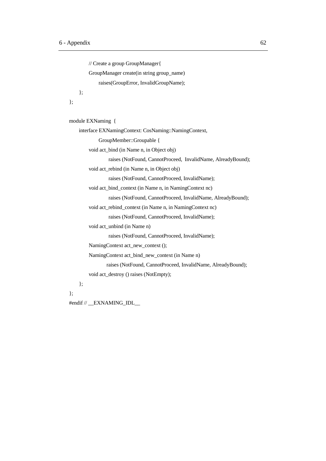```
// Create a group GroupManager{
        GroupManager create(in string group_name)
            raises(GroupError, InvalidGroupName);
    };
};
module EXNaming {
    interface EXNamingContext: CosNaming::NamingContext,
            GroupMember::Groupable {
        void act_bind (in Name n, in Object obj)
                 raises (NotFound, CannotProceed, InvalidName, AlreadyBound);
        void act_rebind (in Name n, in Object obj)
                 raises (NotFound, CannotProceed, InvalidName);
        void act_bind_context (in Name n, in NamingContext nc)
                 raises (NotFound, CannotProceed, InvalidName, AlreadyBound);
        void act_rebind_context (in Name n, in NamingContext nc)
                 raises (NotFound, CannotProceed, InvalidName);
        void act_unbind (in Name n)
                 raises (NotFound, CannotProceed, InvalidName);
        NamingContext act_new_context ();
        NamingContext act_bind_new_context (in Name n)
                raises (NotFound, CannotProceed, InvalidName, AlreadyBound);
        void act_destroy () raises (NotEmpty);
    };
```
};

#endif // \_\_EXNAMING\_IDL\_\_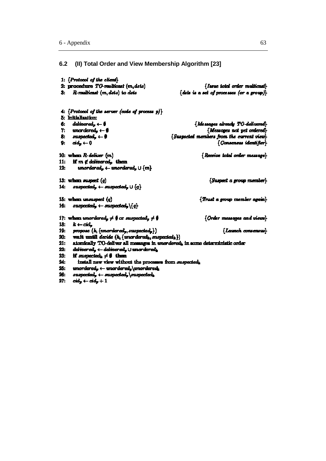# **6.2 (II) Total Order and View Membership Algorithm [23]**

```
1: {Protocol of the client}
 2: procedure TO-multicast (m.dsts)
                                                                           {Issue total order multicast}
 3: R-multicast (m, dsts) to dsts
                                                              {data is a set of processes (or a group)}
 4: {Protocol of the server (code of process p)}
 5: Initialization:
6: delinered<sub>p</sub> \leftarrow 0
                                                                      {Messages already TO-delivered}
 7: unordered, \leftarrow \emptyset[Messages not yet ordered]
                                                          {Suspected members from the current view}
     suspected_{r} \leftarrow \emptyset8.
      \alpha d_n \leftarrow 0[Consensus identifier]
9:10: when R-deliver (m){Receive total order message}
      if m \notin delinered, then
11:unordered_n \leftarrow unordered_n \cup \{m\}12:13: when suspect (q){Suspect a group member}
14: mapped_p \leftarrow supported_p \cup \{q\}15: when unsuspect (q){Trust a group member again}
     an spectral_n \leftarrow an speeded_n \setminus \{q\}16.
17: when unordered, \neq \emptyset or suspected, \neq \emptyset{Order messages and views}
18: k \leftarrow cid_n19:propose (k, \{nondered_p, supered_p\}){Launch consensus}
20:wait until decide (k, \{n n \sigma \cdot \text{derel}_k, \text{suppected}_k\})atomically TO-deliver all messages in unordered, in some deterministic order
21.delinered_p \leftarrow delivered_p \cup unordered_k22.23.
      if suspected, \neq \emptyset then
24.install new view without the processes from suspected,
       tmordered<sub>n</sub> \leftarrow unordered<sub>n</sub> \unorderedn
25.
     mapped_p \leftarrow supported_p \backslash and predicted_k26:27: cd_v \leftarrow cd_v + 1
```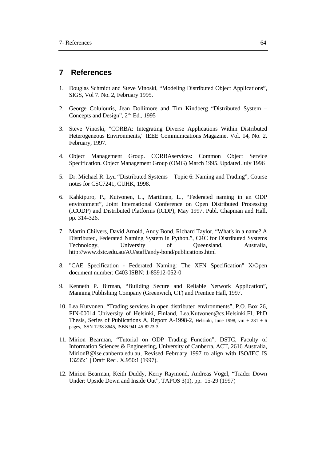# **7 References**

- 1. Douglas Schmidt and Steve Vinoski, "Modeling Distributed Object Applications", SIGS, Vol 7. No. 2, February 1995.
- 2. George Colulouris, Jean Dollimore and Tim Kindberg "Distributed System Concepts and Design", 2<sup>nd</sup> Ed., 1995
- 3. Steve Vinoski, "CORBA: Integrating Diverse Applications Within Distributed Heterogeneous Environments," IEEE Communications Magazine, Vol. 14, No. 2, February, 1997.
- 4. Object Management Group. CORBAservices: Common Object Service Specification. Object Management Group (OMG) March 1995. Updated July 1996
- 5. Dr. Michael R. Lyu "Distributed Systems Topic 6: Naming and Trading", Course notes for CSC7241, CUHK, 1998.
- 6. Kahkipuro, P., Kutvonen, L., Marttinen, L., "Federated naming in an ODP environment", Joint International Conference on Open Distributed Processing (ICODP) and Distributed Platforms (ICDP), May 1997. Publ. Chapman and Hall, pp. 314-326.
- 7. Martin Chilvers, David Arnold, Andy Bond, Richard Taylor, "What's in a name? A Distributed, Federated Naming System in Python.", CRC for Distributed Systems Technology, University of Queensland, Australia, http://www.dstc.edu.au/AU/staff/andy-bond/publications.html
- 8. "CAE Specification Federated Naming: The XFN Specification" X/Open document number: C403 ISBN: 1-85912-052-0
- 9. Kenneth P. Birman, "Building Secure and Reliable Network Application", Manning Publishing Company (Greenwich, CT) and Prentice Hall, 1997.
- 10. Lea Kutvonen, "Trading services in open distributed environments", P.O. Box 26, FIN-00014 University of Helsinki, Finland, Lea.Kutvonen@cs.Helsinki.FI, PhD Thesis, Series of Publications A, Report A-1998-2, Helsinki, June 1998, viii + 231 + 6 pages, ISSN 1238-8645, ISBN 941-45-8223-3
- 11. Mirion Bearman, "Tutorial on ODP Trading Function", DSTC, Faculty of Information Sciences & Engineering, University of Canberra, ACT, 2616 Australia, MirionB@ise.canberra.edu.au, Revised February 1997 to align with ISO/IEC IS 13235:1 | Draft Rec . X.950:1 (1997).
- 12. Mirion Bearman, Keith Duddy, Kerry Raymond, Andreas Vogel, "Trader Down Under: Upside Down and Inside Out", TAPOS 3(1), pp. 15-29 (1997)